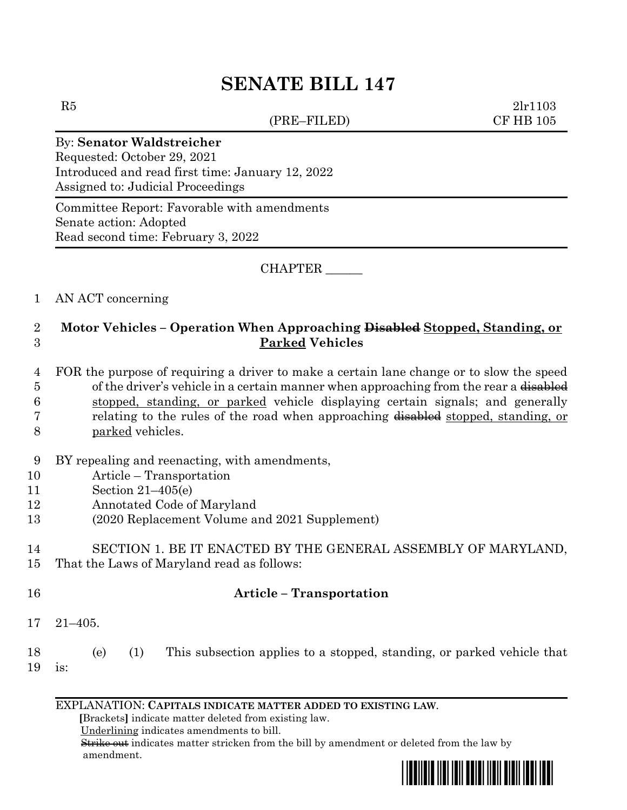# **SENATE BILL 147**

(PRE–FILED) CF HB 105

 $R5$  2lr1103

#### By: **Senator Waldstreicher**

Requested: October 29, 2021 Introduced and read first time: January 12, 2022 Assigned to: Judicial Proceedings

Committee Report: Favorable with amendments Senate action: Adopted Read second time: February 3, 2022

#### CHAPTER \_\_\_\_\_\_

#### 1 AN ACT concerning

### 2 **Motor Vehicles – Operation When Approaching Disabled Stopped, Standing, or**  3 **Parked Vehicles**

- 4 FOR the purpose of requiring a driver to make a certain lane change or to slow the speed 5 of the driver's vehicle in a certain manner when approaching from the rear a disabled 6 stopped, standing, or parked vehicle displaying certain signals; and generally 7 relating to the rules of the road when approaching disabled stopped, standing, or
- 8 parked vehicles.
- 9 BY repealing and reenacting, with amendments,
- 10 Article Transportation
- 11 Section 21–405(e)
- 12 Annotated Code of Maryland
- 13 (2020 Replacement Volume and 2021 Supplement)

# 14 SECTION 1. BE IT ENACTED BY THE GENERAL ASSEMBLY OF MARYLAND,

15 That the Laws of Maryland read as follows:

# 16 **Article – Transportation**

- 17 21–405.
- 18 (e) (1) This subsection applies to a stopped, standing, or parked vehicle that 19 is:

### EXPLANATION: **CAPITALS INDICATE MATTER ADDED TO EXISTING LAW**.

 **[**Brackets**]** indicate matter deleted from existing law.

Underlining indicates amendments to bill.

 Strike out indicates matter stricken from the bill by amendment or deleted from the law by amendment.